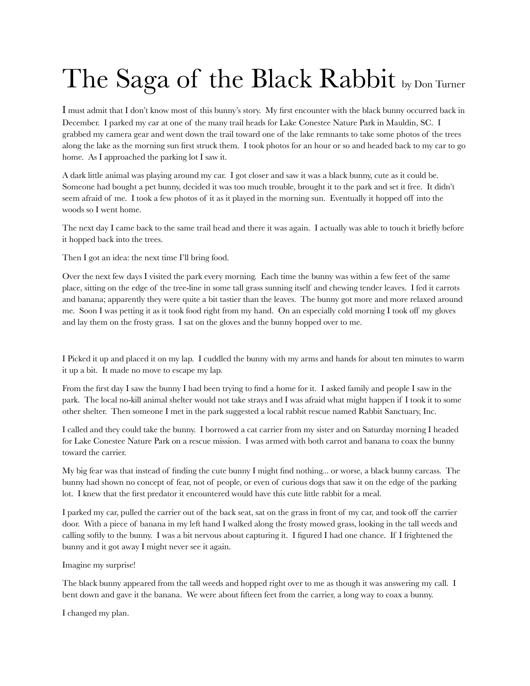## The Saga of the Black Rabbit by Don Turner

I must admit that I don't know most of this bunny's story. My first encounter with the black bunny occurred back in December. I parked my car at one of the many trail heads for Lake Conestee Nature Park in Mauldin, SC. I grabbed my camera gear and went down the trail toward one of the lake remnants to take some photos of the trees along the lake as the morning sun first struck them. I took photos for an hour or so and headed back to my car to go home. As I approached the parking lot I saw it.

A dark little animal was playing around my car. I got closer and saw it was a black bunny, cute as it could be. Someone had bought a pet bunny, decided it was too much trouble, brought it to the park and set it free. It didn't seem afraid of me. I took a few photos of it as it played in the morning sun. Eventually it hopped off into the woods so I went home.

The next day I came back to the same trail head and there it was again. I actually was able to touch it briefly before it hopped back into the trees.

Then I got an idea: the next time I'll bring food.

Over the next few days I visited the park every morning. Each time the bunny was within a few feet of the same place, sitting on the edge of the tree-line in some tall grass sunning itself and chewing tender leaves. I fed it carrots and banana; apparently they were quite a bit tastier than the leaves. The bunny got more and more relaxed around me. Soon I was petting it as it took food right from my hand. On an especially cold morning I took off my gloves and lay them on the frosty grass. I sat on the gloves and the bunny hopped over to me.

I Picked it up and placed it on my lap. I cuddled the bunny with my arms and hands for about ten minutes to warm it up a bit. It made no move to escape my lap.

From the first day I saw the bunny I had been trying to find a home for it. I asked family and people I saw in the park. The local no-kill animal shelter would not take strays and I was afraid what might happen if I took it to some other shelter. Then someone I met in the park suggested a local rabbit rescue named Rabbit Sanctuary, Inc.

I called and they could take the bunny. I borrowed a cat carrier from my sister and on Saturday morning I headed for Lake Conestee Nature Park on a rescue mission. I was armed with both carrot and banana to coax the bunny toward the carrier.

My big fear was that instead of finding the cute bunny I might find nothing... or worse, a black bunny carcass. The bunny had shown no concept of fear, not of people, or even of curious dogs that saw it on the edge of the parking lot. I knew that the first predator it encountered would have this cute little rabbit for a meal.

I parked my car, pulled the carrier out of the back seat, sat on the grass in front of my car, and took off the carrier door. With a piece of banana in my left hand I walked along the frosty mowed grass, looking in the tall weeds and calling softly to the bunny. I was a bit nervous about capturing it. I figured I had one chance. If I frightened the bunny and it got away I might never see it again.

Imagine my surprise!

The black bunny appeared from the tall weeds and hopped right over to me as though it was answering my call. I bent down and gave it the banana. We were about fifteen feet from the carrier, a long way to coax a bunny.

I changed my plan.